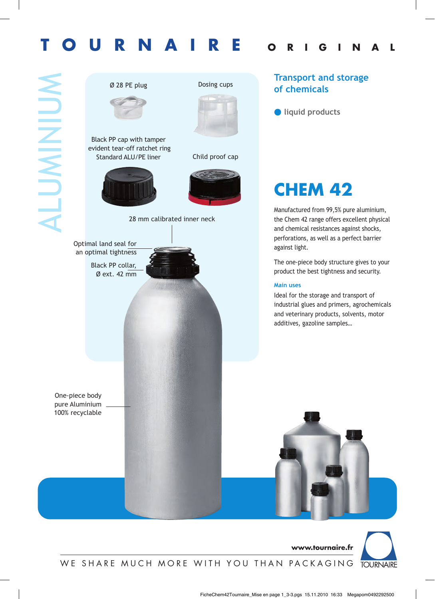# **TOURNAIRE ORIGINAL**





One-piece body pure Aluminium 100% recyclable

### **Transport and storage of chemicals**



### **CHEM 42**

Manufactured from 99,5% pure aluminium, the Chem 42 range offers excellent physical and chemical resistances against shocks, perforations, as well as a perfect barrier against light.

The one-piece body structure gives to your product the best tightness and security.

#### **Main uses**

Ideal for the storage and transport of industrial glues and primers, agrochemicals and veterinary products, solvents, motor additives, gazoline samples…

**www.tournaire.fr**